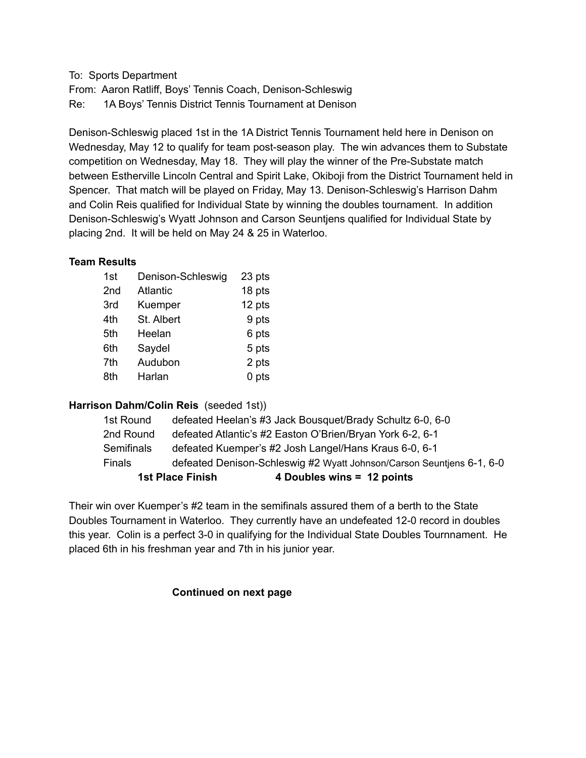To: Sports Department From: Aaron Ratliff, Boys' Tennis Coach, Denison-Schleswig Re: 1A Boys' Tennis District Tennis Tournament at Denison

Denison-Schleswig placed 1st in the 1A District Tennis Tournament held here in Denison on Wednesday, May 12 to qualify for team post-season play. The win advances them to Substate competition on Wednesday, May 18. They will play the winner of the Pre-Substate match between Estherville Lincoln Central and Spirit Lake, Okiboji from the District Tournament held in Spencer. That match will be played on Friday, May 13. Denison-Schleswig's Harrison Dahm and Colin Reis qualified for Individual State by winning the doubles tournament. In addition Denison-Schleswig's Wyatt Johnson and Carson Seuntjens qualified for Individual State by placing 2nd. It will be held on May 24 & 25 in Waterloo.

### **Team Results**

| 1st | Denison-Schleswig | 23 pts |
|-----|-------------------|--------|
| 2nd | <b>Atlantic</b>   | 18 pts |
| 3rd | Kuemper           | 12 pts |
| 4th | St. Albert        | 9 pts  |
| 5th | Heelan            | 6 pts  |
| 6th | Saydel            | 5 pts  |
| 7th | Audubon           | 2 pts  |
| 8th | Harlan            | 0 pts  |

# **Harrison Dahm/Colin Reis** (seeded 1st))

|                   | 4 Doubles wins = 12 points<br><b>1st Place Finish</b>                 |
|-------------------|-----------------------------------------------------------------------|
| <b>Finals</b>     | defeated Denison-Schleswig #2 Wyatt Johnson/Carson Seuntjens 6-1, 6-0 |
| <b>Semifinals</b> | defeated Kuemper's #2 Josh Langel/Hans Kraus 6-0, 6-1                 |
| 2nd Round         | defeated Atlantic's #2 Easton O'Brien/Bryan York 6-2, 6-1             |
| 1st Round         | defeated Heelan's #3 Jack Bousquet/Brady Schultz 6-0, 6-0             |

Their win over Kuemper's #2 team in the semifinals assured them of a berth to the State Doubles Tournament in Waterloo. They currently have an undefeated 12-0 record in doubles this year. Colin is a perfect 3-0 in qualifying for the Individual State Doubles Tournnament. He placed 6th in his freshman year and 7th in his junior year.

### **Continued on next page**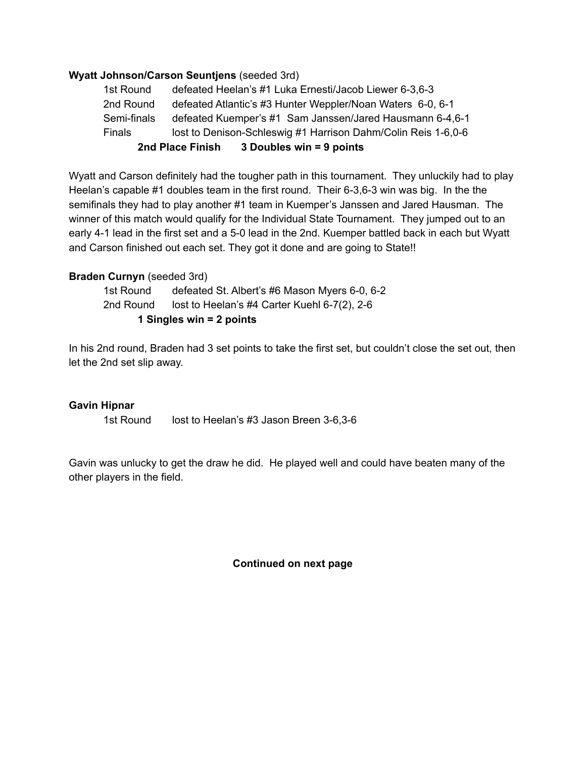### **Wyatt Johnson/Carson Seuntjens** (seeded 3rd)

| 1st Round     | defeated Heelan's #1 Luka Ernesti/Jacob Liewer 6-3,6-3        |  |
|---------------|---------------------------------------------------------------|--|
| 2nd Round     | defeated Atlantic's #3 Hunter Weppler/Noan Waters 6-0, 6-1    |  |
| Semi-finals   | defeated Kuemper's #1 Sam Janssen/Jared Hausmann 6-4,6-1      |  |
| <b>Finals</b> | lost to Denison-Schleswig #1 Harrison Dahm/Colin Reis 1-6,0-6 |  |
|               | 3 Doubles win = 9 points<br>2nd Place Finish                  |  |

Wyatt and Carson definitely had the tougher path in this tournament. They unluckily had to play Heelan's capable #1 doubles team in the first round. Their 6-3,6-3 win was big. In the the semifinals they had to play another #1 team in Kuemper's Janssen and Jared Hausman. The winner of this match would qualify for the Individual State Tournament. They jumped out to an early 4-1 lead in the first set and a 5-0 lead in the 2nd. Kuemper battled back in each but Wyatt and Carson finished out each set. They got it done and are going to State!!

## **Braden Curnyn** (seeded 3rd)

1st Round defeated St. Albert's #6 Mason Myers 6-0, 6-2 2nd Round lost to Heelan's #4 Carter Kuehl 6-7(2), 2-6 **1 Singles win = 2 points**

In his 2nd round, Braden had 3 set points to take the first set, but couldn't close the set out, then let the 2nd set slip away.

### **Gavin Hipnar**

1st Round lost to Heelan's #3 Jason Breen 3-6,3-6

Gavin was unlucky to get the draw he did. He played well and could have beaten many of the other players in the field.

**Continued on next page**